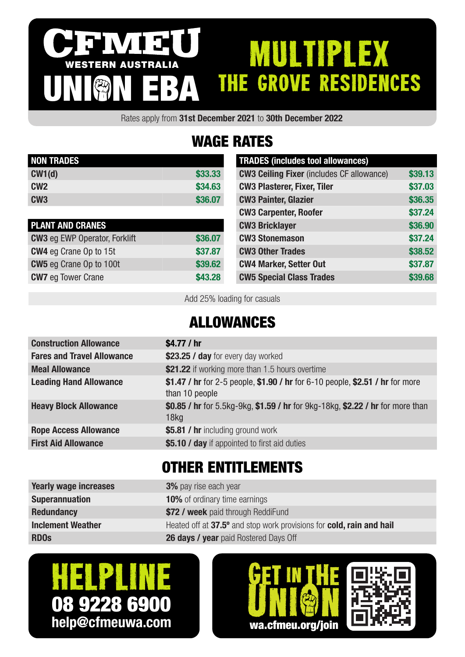### IVI 3 MULTIPLEX WESTERN AUSTRALIA THE GROVE RESIDENCES UNION EBA

Rates apply from 31st December 2021 to 30th December 2022

# WAGE RATES

| <b>NON TRADES</b> |         |
|-------------------|---------|
| CW1(d)            | \$33.33 |
| CM2               | \$34.63 |
| CW <sub>3</sub>   | \$36,07 |

| <b>PLANT AND CRANES</b>              |         |
|--------------------------------------|---------|
| <b>CW3</b> eg EWP Operator, Forklift | \$36.07 |
| <b>CW4</b> eg Crane Op to 15t        | \$37.87 |
| <b>CW5</b> eg Crane Op to 100t       | \$39,62 |
| <b>CW7</b> eg Tower Crane            | \$43.28 |

| <b>TRADES (includes tool allowances)</b>         |         |
|--------------------------------------------------|---------|
| <b>CW3 Ceiling Fixer</b> (includes CF allowance) | \$39.13 |
| <b>CW3 Plasterer, Fixer, Tiler</b>               | \$37.03 |
| <b>CW3 Painter, Glazier</b>                      | \$36.35 |
| <b>CW3 Carpenter, Roofer</b>                     | \$37.24 |
| <b>CW3 Bricklayer</b>                            | \$36.90 |
| <b>CW3 Stonemason</b>                            | \$37.24 |
| <b>CW3 Other Trades</b>                          | \$38.52 |
| <b>CW4 Marker, Setter Out</b>                    | \$37.87 |
| <b>CW5 Special Class Trades</b>                  | \$39.68 |

Add 25% loading for casuals

## ALLOWANCES

| <b>Construction Allowance</b>     | \$4.77 / $hr$                                                                                      |
|-----------------------------------|----------------------------------------------------------------------------------------------------|
| <b>Fares and Travel Allowance</b> | \$23.25 / day for every day worked                                                                 |
| <b>Meal Allowance</b>             | \$21.22 if working more than 1.5 hours overtime                                                    |
| <b>Leading Hand Allowance</b>     | \$1.47 / hr for 2-5 people, \$1.90 / hr for 6-10 people, \$2.51 / hr for more<br>than 10 people    |
| <b>Heavy Block Allowance</b>      | \$0.85 / hr for 5.5kg-9kg, \$1.59 / hr for 9kg-18kg, \$2.22 / hr for more than<br>18 <sub>kq</sub> |
| <b>Rope Access Allowance</b>      | \$5.81 / hr including ground work                                                                  |
| <b>First Aid Allowance</b>        | \$5.10 / day if appointed to first aid duties                                                      |
|                                   |                                                                                                    |

## OTHER ENTITLEMENTS

| <b>Yearly wage increases</b> | <b>3%</b> pay rise each year                                         |
|------------------------------|----------------------------------------------------------------------|
| <b>Superannuation</b>        | <b>10%</b> of ordinary time earnings                                 |
| <b>Redundancy</b>            | \$72 / week paid through ReddiFund                                   |
| <b>Inclement Weather</b>     | Heated off at 37.5° and stop work provisions for cold, rain and hail |
| <b>RDOs</b>                  | <b>26 days / year</b> paid Rostered Days Off                         |